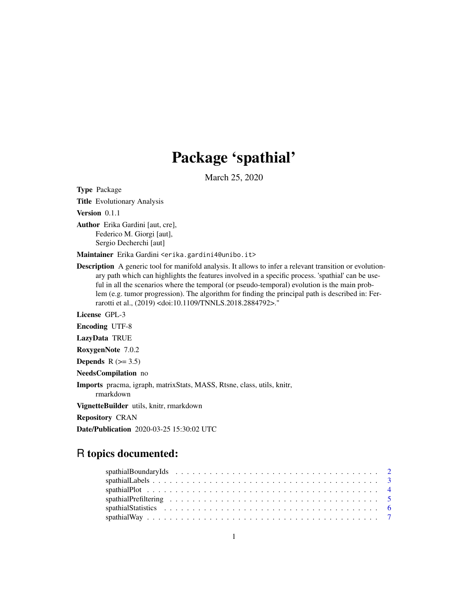# Package 'spathial'

March 25, 2020

Type Package

Title Evolutionary Analysis

Version 0.1.1

Author Erika Gardini [aut, cre], Federico M. Giorgi [aut], Sergio Decherchi [aut]

Maintainer Erika Gardini <erika.gardini4@unibo.it>

Description A generic tool for manifold analysis. It allows to infer a relevant transition or evolutionary path which can highlights the features involved in a specific process. 'spathial' can be useful in all the scenarios where the temporal (or pseudo-temporal) evolution is the main problem (e.g. tumor progression). The algorithm for finding the principal path is described in: Ferrarotti et al., (2019) <doi:10.1109/TNNLS.2018.2884792>."

License GPL-3

Encoding UTF-8

LazyData TRUE

RoxygenNote 7.0.2

Depends  $R$  ( $> = 3.5$ )

NeedsCompilation no

Imports pracma, igraph, matrixStats, MASS, Rtsne, class, utils, knitr, rmarkdown

VignetteBuilder utils, knitr, rmarkdown

Repository CRAN

Date/Publication 2020-03-25 15:30:02 UTC

# R topics documented: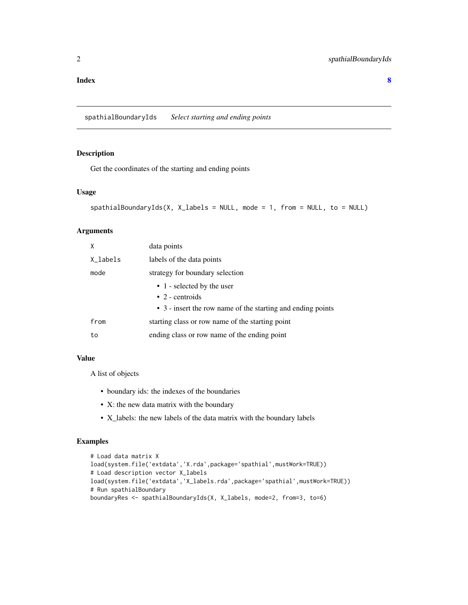#### <span id="page-1-0"></span>**Index** [8](#page-7-0) **8**

spathialBoundaryIds *Select starting and ending points*

# Description

Get the coordinates of the starting and ending points

#### Usage

```
spathialBoundaryIds(X, X_labels = NULL, mode = 1, from = NULL, to = NULL)
```
# Arguments

| X        | data points                                                 |
|----------|-------------------------------------------------------------|
| X_labels | labels of the data points                                   |
| mode     | strategy for boundary selection                             |
|          | • 1 - selected by the user                                  |
|          | $\bullet$ 2 - centroids                                     |
|          | • 3 - insert the row name of the starting and ending points |
| from     | starting class or row name of the starting point            |
| to       | ending class or row name of the ending point                |

#### Value

A list of objects

- boundary ids: the indexes of the boundaries
- X: the new data matrix with the boundary
- X\_labels: the new labels of the data matrix with the boundary labels

```
# Load data matrix X
load(system.file('extdata','X.rda',package='spathial',mustWork=TRUE))
# Load description vector X_labels
load(system.file('extdata','X_labels.rda',package='spathial',mustWork=TRUE))
# Run spathialBoundary
boundaryRes <- spathialBoundaryIds(X, X_labels, mode=2, from=3, to=6)
```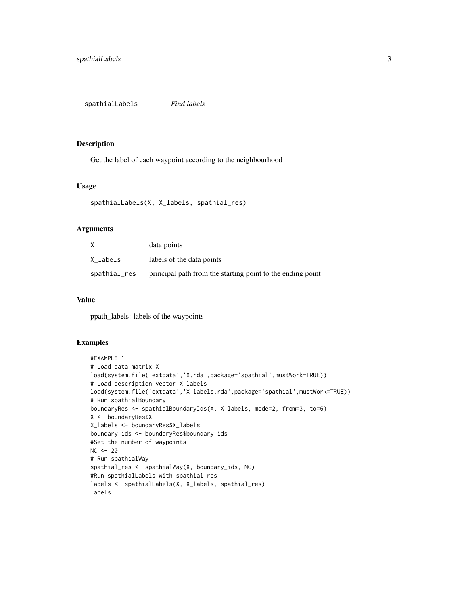<span id="page-2-0"></span>spathialLabels *Find labels*

#### Description

Get the label of each waypoint according to the neighbourhood

# Usage

```
spathialLabels(X, X_labels, spathial_res)
```
#### Arguments

| X            | data points                                                |
|--------------|------------------------------------------------------------|
| X labels     | labels of the data points                                  |
| spathial_res | principal path from the starting point to the ending point |

#### Value

ppath\_labels: labels of the waypoints

```
#EXAMPLE 1
# Load data matrix X
load(system.file('extdata','X.rda',package='spathial',mustWork=TRUE))
# Load description vector X_labels
load(system.file('extdata','X_labels.rda',package='spathial',mustWork=TRUE))
# Run spathialBoundary
boundaryRes <- spathialBoundaryIds(X, X_labels, mode=2, from=3, to=6)
X <- boundaryRes$X
X_labels <- boundaryRes$X_labels
boundary_ids <- boundaryRes$boundary_ids
#Set the number of waypoints
NC < - 20# Run spathialWay
spathial_res <- spathialWay(X, boundary_ids, NC)
#Run spathialLabels with spathial_res
labels <- spathialLabels(X, X_labels, spathial_res)
labels
```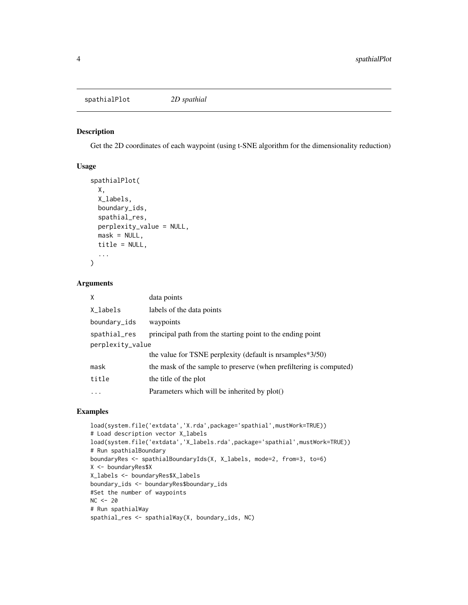#### <span id="page-3-0"></span>Description

Get the 2D coordinates of each waypoint (using t-SNE algorithm for the dimensionality reduction)

#### Usage

```
spathialPlot(
 X,
 X_labels,
 boundary_ids,
  spathial_res,
 perplexity_value = NULL,
 mask = NULL,title = NULL,
  ...
)
```
# Arguments

| X                | data points                                                        |
|------------------|--------------------------------------------------------------------|
| X_labels         | labels of the data points                                          |
| boundary_ids     | waypoints                                                          |
| spathial_res     | principal path from the starting point to the ending point         |
| perplexity_value |                                                                    |
|                  | the value for TSNE perplexity (default is nrsamples *3/50)         |
| mask             | the mask of the sample to preserve (when prefiltering is computed) |
| title            | the title of the plot                                              |
|                  | Parameters which will be inherited by plot()                       |
|                  |                                                                    |

```
load(system.file('extdata','X.rda',package='spathial',mustWork=TRUE))
# Load description vector X_labels
load(system.file('extdata','X_labels.rda',package='spathial',mustWork=TRUE))
# Run spathialBoundary
boundaryRes <- spathialBoundaryIds(X, X_labels, mode=2, from=3, to=6)
X <- boundaryRes$X
X_labels <- boundaryRes$X_labels
boundary_ids <- boundaryRes$boundary_ids
#Set the number of waypoints
NC < - 20# Run spathialWay
spathial_res <- spathialWay(X, boundary_ids, NC)
```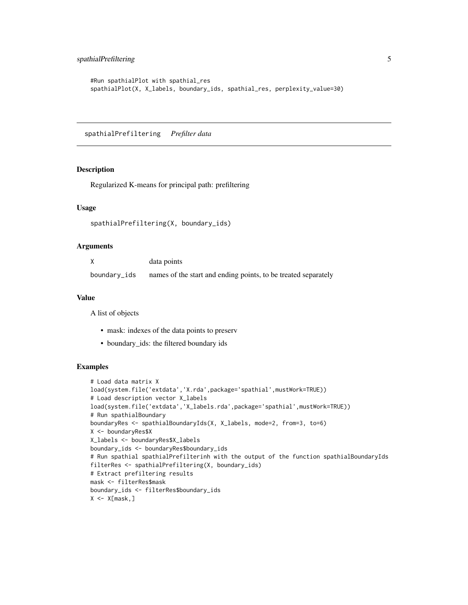```
#Run spathialPlot with spathial_res
spathialPlot(X, X_labels, boundary_ids, spathial_res, perplexity_value=30)
```
spathialPrefiltering *Prefilter data*

#### Description

Regularized K-means for principal path: prefiltering

#### Usage

```
spathialPrefiltering(X, boundary_ids)
```
#### Arguments

|              | data points                                                    |
|--------------|----------------------------------------------------------------|
| boundary_ids | names of the start and ending points, to be treated separately |

#### Value

A list of objects

- mask: indexes of the data points to preserv
- boundary\_ids: the filtered boundary ids

```
# Load data matrix X
load(system.file('extdata','X.rda',package='spathial',mustWork=TRUE))
# Load description vector X_labels
load(system.file('extdata','X_labels.rda',package='spathial',mustWork=TRUE))
# Run spathialBoundary
boundaryRes <- spathialBoundaryIds(X, X_labels, mode=2, from=3, to=6)
X <- boundaryRes$X
X_labels <- boundaryRes$X_labels
boundary_ids <- boundaryRes$boundary_ids
# Run spathial spathialPrefilterinh with the output of the function spathialBoundaryIds
filterRes <- spathialPrefiltering(X, boundary_ids)
# Extract prefiltering results
mask <- filterRes$mask
boundary_ids <- filterRes$boundary_ids
X \leftarrow X[\text{mask},]
```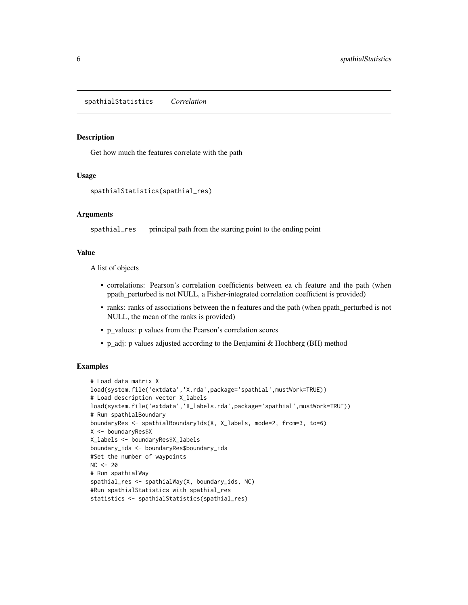<span id="page-5-0"></span>spathialStatistics *Correlation*

#### Description

Get how much the features correlate with the path

# Usage

spathialStatistics(spathial\_res)

#### Arguments

spathial\_res principal path from the starting point to the ending point

#### Value

A list of objects

- correlations: Pearson's correlation coefficients between ea ch feature and the path (when ppath\_perturbed is not NULL, a Fisher-integrated correlation coefficient is provided)
- ranks: ranks of associations between the n features and the path (when ppath\_perturbed is not NULL, the mean of the ranks is provided)
- p\_values: p values from the Pearson's correlation scores
- p\_adj: p values adjusted according to the Benjamini & Hochberg (BH) method

```
# Load data matrix X
load(system.file('extdata','X.rda',package='spathial',mustWork=TRUE))
# Load description vector X_labels
load(system.file('extdata','X_labels.rda',package='spathial',mustWork=TRUE))
# Run spathialBoundary
boundaryRes <- spathialBoundaryIds(X, X_labels, mode=2, from=3, to=6)
X <- boundaryRes$X
X_labels <- boundaryRes$X_labels
boundary_ids <- boundaryRes$boundary_ids
#Set the number of waypoints
NC < - 20# Run spathialWay
spathial_res <- spathialWay(X, boundary_ids, NC)
#Run spathialStatistics with spathial_res
statistics <- spathialStatistics(spathial_res)
```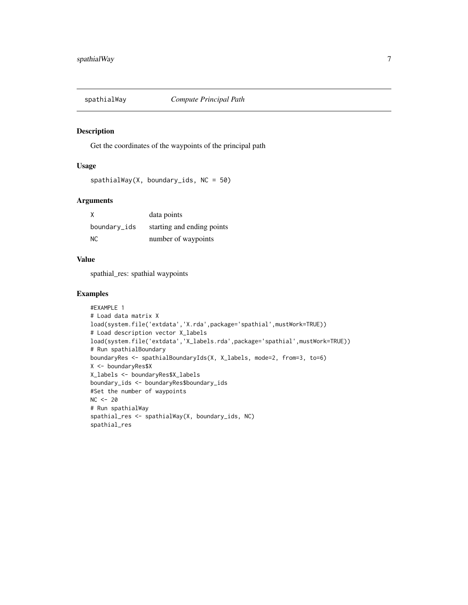<span id="page-6-0"></span>

#### Description

Get the coordinates of the waypoints of the principal path

# Usage

```
spathialWay(X, boundary_ids, NC = 50)
```
# Arguments

| X            | data points                |
|--------------|----------------------------|
| boundary_ids | starting and ending points |
| NC.          | number of waypoints        |

#### Value

spathial\_res: spathial waypoints

```
#EXAMPLE 1
# Load data matrix X
load(system.file('extdata','X.rda',package='spathial',mustWork=TRUE))
# Load description vector X_labels
load(system.file('extdata','X_labels.rda',package='spathial',mustWork=TRUE))
# Run spathialBoundary
boundaryRes <- spathialBoundaryIds(X, X_labels, mode=2, from=3, to=6)
X <- boundaryRes$X
X_labels <- boundaryRes$X_labels
boundary_ids <- boundaryRes$boundary_ids
#Set the number of waypoints
NC < - 20# Run spathialWay
spathial_res <- spathialWay(X, boundary_ids, NC)
spathial_res
```